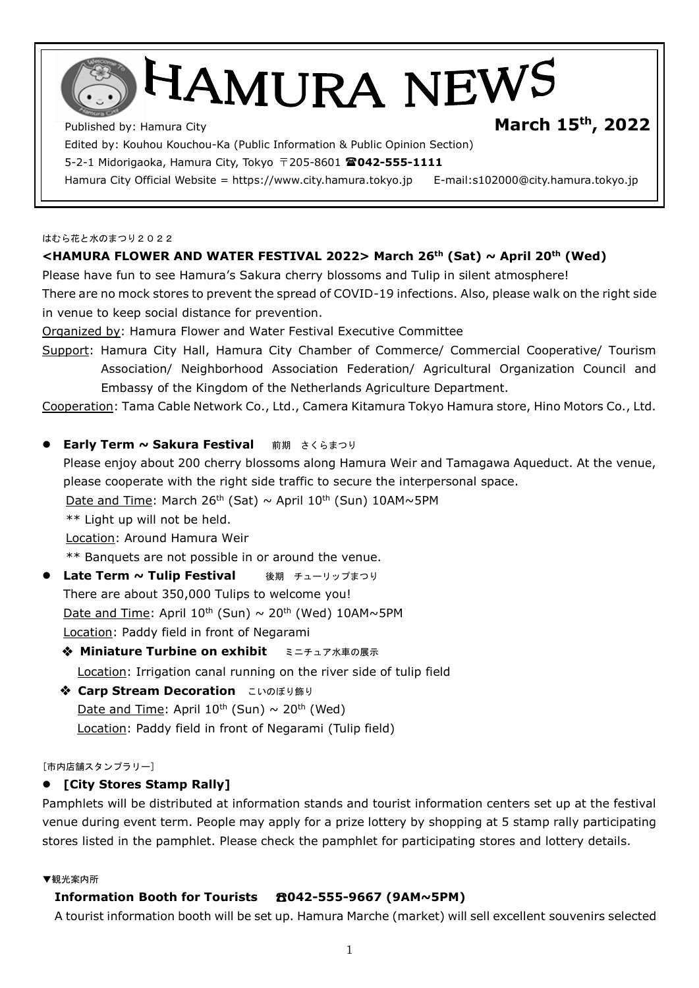# HAMURA NEWS

Published by: Hamura City **March 15th, 2022**

Edited by: Kouhou Kouchou-Ka (Public Information & Public Opinion Section)

5-2-1 Midorigaoka, Hamura City, Tokyo 〒205-8601 **042-555-1111** 

Hamura City Official Website = https://www.city.hamura.tokyo.jp E-mail:s102000@city.hamura.tokyo.jp

#### はむら花と水のまつり2022

# **<HAMURA FLOWER AND WATER FESTIVAL 2022> March 26th (Sat) ~ April 20th (Wed)**

Please have fun to see Hamura's Sakura cherry blossoms and Tulip in silent atmosphere!

There are no mock stores to prevent the spread of COVID-19 infections. Also, please walk on the right side in venue to keep social distance for prevention.

Organized by: Hamura Flower and Water Festival Executive Committee

Support: Hamura City Hall, Hamura City Chamber of Commerce/ Commercial Cooperative/ Tourism Association/ Neighborhood Association Federation/ Agricultural Organization Council and Embassy of the Kingdom of the Netherlands Agriculture Department.

Cooperation: Tama Cable Network Co., Ltd., Camera Kitamura Tokyo Hamura store, Hino Motors Co., Ltd.

**Early Term ~ Sakura Festival** 前期 さくらまつり

Please enjoy about 200 cherry blossoms along Hamura Weir and Tamagawa Aqueduct. At the venue, please cooperate with the right side traffic to secure the interpersonal space.

Date and Time: March 26<sup>th</sup> (Sat) ~ April 10<sup>th</sup> (Sun) 10AM~5PM

\*\* Light up will not be held.

Location: Around Hamura Weir

\*\* Banquets are not possible in or around the venue.

**Late Term ~ Tulip Festival** 後期 チューリップまつり There are about 350,000 Tulips to welcome you! Date and Time: April  $10^{th}$  (Sun)  $\sim 20^{th}$  (Wed) 10AM~5PM Location: Paddy field in front of Negarami

- **Miniature Turbine on exhibit** ミニチュア水車の展示 Location: Irrigation canal running on the river side of tulip field
- **Carp Stream Decoration** こいのぼり飾り Date and Time: April  $10^{th}$  (Sun)  $\sim 20^{th}$  (Wed) Location: Paddy field in front of Negarami (Tulip field)

#### [市内店舗スタンプラリー]

# **[City Stores Stamp Rally]**

Pamphlets will be distributed at information stands and tourist information centers set up at the festival venue during event term. People may apply for a prize lottery by shopping at 5 stamp rally participating stores listed in the pamphlet. Please check the pamphlet for participating stores and lottery details.

#### ▼観光案内所

#### **Information Booth for Tourists** ☎**042-555-9667 (9AM~5PM)**

A tourist information booth will be set up. Hamura Marche (market) will sell excellent souvenirs selected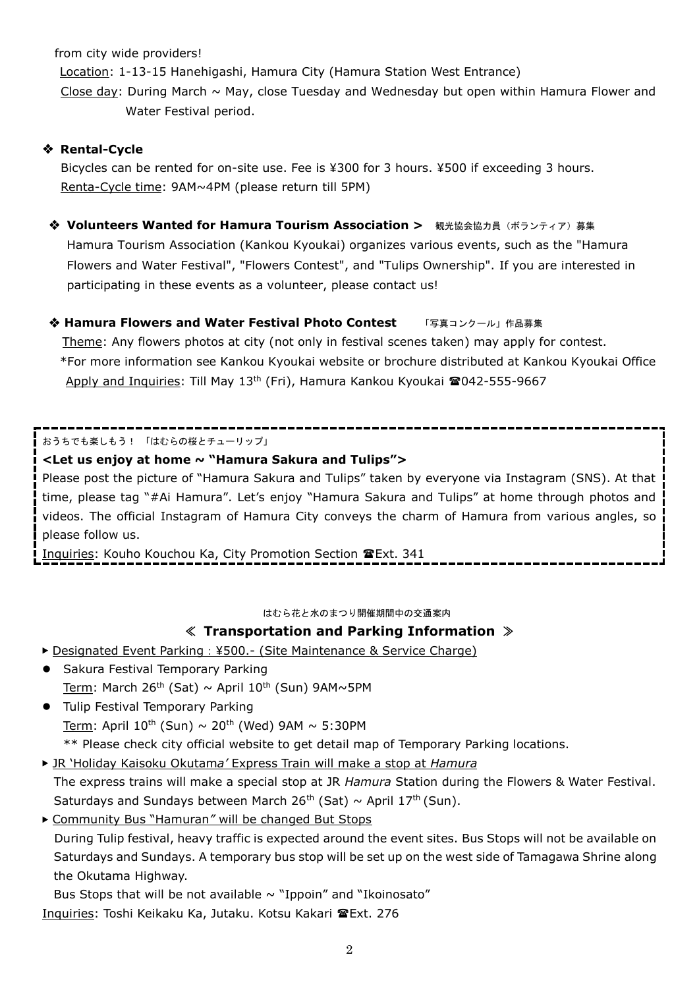from city wide providers!

Location: 1-13-15 Hanehigashi, Hamura City (Hamura Station West Entrance)

Close day: During March  $\sim$  May, close Tuesday and Wednesday but open within Hamura Flower and Water Festival period.

# **Rental-Cycle**

Bicycles can be rented for on-site use. Fee is ¥300 for 3 hours. ¥500 if exceeding 3 hours. Renta-Cycle time: 9AM~4PM (please return till 5PM)

**※ Volunteers Wanted for Hamura Tourism Association >** 観光協会協力員 (ボランティア) 募集

Hamura Tourism Association (Kankou Kyoukai) organizes various events, such as the "Hamura Flowers and Water Festival", "Flowers Contest", and "Tulips Ownership". If you are interested in participating in these events as a volunteer, please contact us!

# **Hamura Flowers and Water Festival Photo Contest** 「写真コンクール」作品募集

 Theme: Any flowers photos at city (not only in festival scenes taken) may apply for contest. \*For more information see Kankou Kyoukai website or brochure distributed at Kankou Kyoukai Office Apply and Inquiries: Till May 13<sup>th</sup> (Fri), Hamura Kankou Kyoukai <sup>2</sup>042-555-9667

# おうちでも楽しもう! 「はむらの桜とチューリップ」

# **<Let us enjoy at home ~ "Hamura Sakura and Tulips">**

Please post the picture of "Hamura Sakura and Tulips" taken by everyone via Instagram (SNS). At that time, please tag "#Ai Hamura". Let's enjoy "Hamura Sakura and Tulips" at home through photos and videos. The official Instagram of Hamura City conveys the charm of Hamura from various angles, so please follow us.

Inquiries: Kouho Kouchou Ka, City Promotion Section TExt. 341

はむら花と水のまつり開催期間中の交通案内

# ≪ **Transportation and Parking Information** ≫

- ▶ Designated Event Parking: ¥500.- (Site Maintenance & Service Charge)
- **•** Sakura Festival Temporary Parking Term: March 26<sup>th</sup> (Sat)  $\sim$  April 10<sup>th</sup> (Sun) 9AM $\sim$ 5PM
- **•** Tulip Festival Temporary Parking Term: April  $10^{th}$  (Sun)  $\sim 20^{th}$  (Wed) 9AM  $\sim 5:30$ PM
	- \*\* Please check city official website to get detail map of Temporary Parking locations.
- ▶ JR 'Holiday Kaisoku Okutam*a'* Express Train will make a stop at *Hamura*

 The express trains will make a special stop at JR *Hamura* Station during the Flowers & Water Festival. Saturdays and Sundays between March 26<sup>th</sup> (Sat)  $\sim$  April 17<sup>th</sup> (Sun).

▶ Community Bus "Hamuran*"* will be changed But Stops

 During Tulip festival, heavy traffic is expected around the event sites. Bus Stops will not be available on Saturdays and Sundays. A temporary bus stop will be set up on the west side of Tamagawa Shrine along the Okutama Highway.

Bus Stops that will be not available  $\sim$  "Ippoin" and "Ikoinosato"

Inquiries: Toshi Keikaku Ka, Jutaku. Kotsu Kakari Ext. 276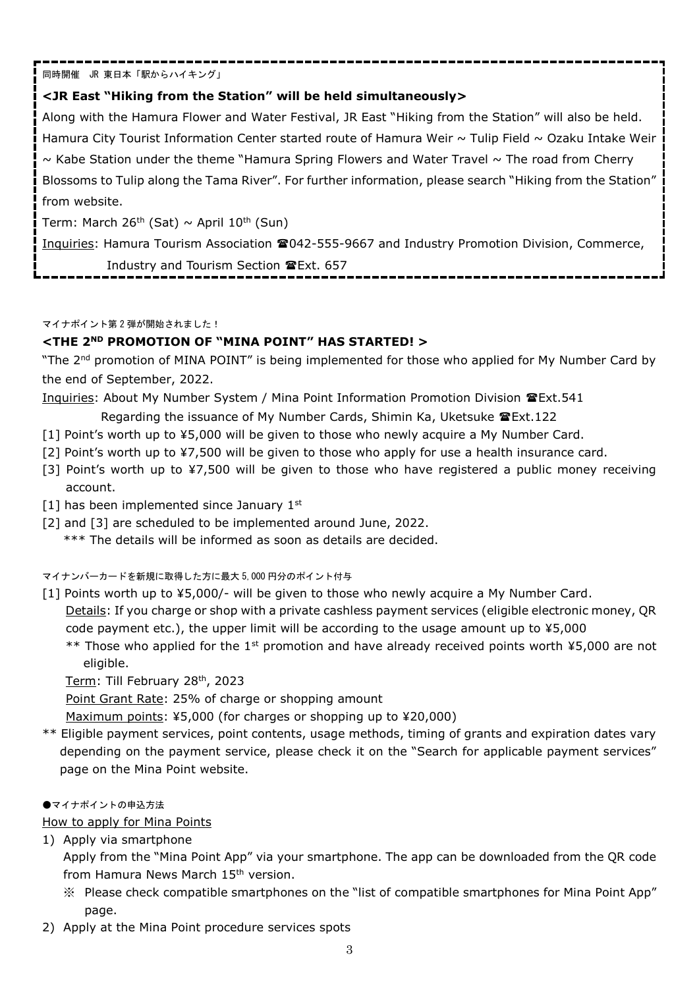同時開催 JR 東日本「駅からハイキング」

# **<JR East "Hiking from the Station" will be held simultaneously>**

Along with the Hamura Flower and Water Festival, JR East "Hiking from the Station" will also be held. Hamura City Tourist Information Center started route of Hamura Weir ~ Tulip Field ~ Ozaku Intake Weir  $\sim$  Kabe Station under the theme "Hamura Spring Flowers and Water Travel  $\sim$  The road from Cherry Blossoms to Tulip along the Tama River". For further information, please search "Hiking from the Station" from website.

Term: March 26<sup>th</sup> (Sat)  $\sim$  April 10<sup>th</sup> (Sun)

Inquiries: Hamura Tourism Association **2042-555-9667** and Industry Promotion Division, Commerce,

#### Industry and Tourism Section **雪Ext. 657**

マイナポイント第 2 弾が開始されました!

# **<THE 2ND PROMOTION OF "MINA POINT" HAS STARTED! >**

"The 2<sup>nd</sup> promotion of MINA POINT" is being implemented for those who applied for My Number Card by the end of September, 2022.

Inquiries: About My Number System / Mina Point Information Promotion Division Ext.541

Regarding the issuance of My Number Cards, Shimin Ka, Uketsuke @Ext.122

- [1] Point's worth up to ¥5,000 will be given to those who newly acquire a My Number Card.
- [2] Point's worth up to ¥7,500 will be given to those who apply for use a health insurance card.
- [3] Point's worth up to ¥7,500 will be given to those who have registered a public money receiving account.
- $[1]$  has been implemented since January 1st
- [2] and [3] are scheduled to be implemented around June, 2022.
	- \*\*\* The details will be informed as soon as details are decided.

#### マイナンバーカードを新規に取得した方に最大 5,000 円分のポイント付与

- [1] Points worth up to ¥5,000/- will be given to those who newly acquire a My Number Card.
	- Details: If you charge or shop with a private cashless payment services (eligible electronic money, QR code payment etc.), the upper limit will be according to the usage amount up to ¥5,000
	- \*\* Those who applied for the 1<sup>st</sup> promotion and have already received points worth ¥5,000 are not eligible.

Term: Till February 28th, 2023

Point Grant Rate: 25% of charge or shopping amount

Maximum points: ¥5,000 (for charges or shopping up to ¥20,000)

\*\* Eligible payment services, point contents, usage methods, timing of grants and expiration dates vary depending on the payment service, please check it on the "Search for applicable payment services" page on the Mina Point website.

#### ●マイナポイントの申込方法

# How to apply for Mina Points

1) Apply via smartphone

Apply from the "Mina Point App" via your smartphone. The app can be downloaded from the QR code from Hamura News March 15<sup>th</sup> version.

- ※ Please check compatible smartphones on the "list of compatible smartphones for Mina Point App" page.
- 2) Apply at the Mina Point procedure services spots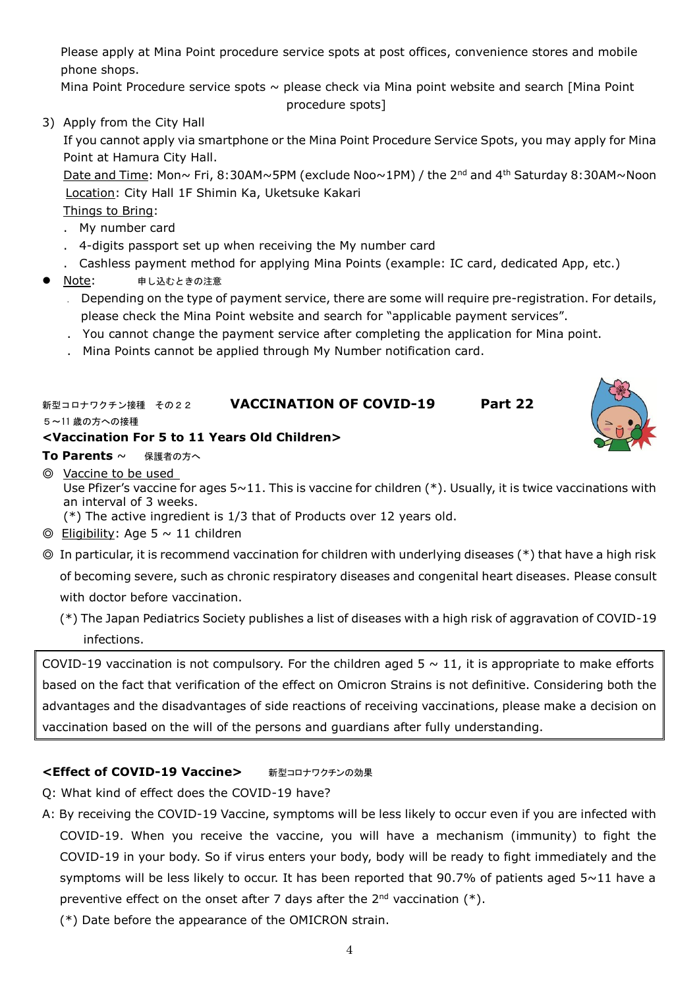Please apply at Mina Point procedure service spots at post offices, convenience stores and mobile phone shops.

Mina Point Procedure service spots  $\sim$  please check via Mina point website and search [Mina Point

procedure spots]

3) Apply from the City Hall

If you cannot apply via smartphone or the Mina Point Procedure Service Spots, you may apply for Mina Point at Hamura City Hall.

Date and Time: Mon~ Fri, 8:30AM~5PM (exclude Noo~1PM) / the 2<sup>nd</sup> and 4<sup>th</sup> Saturday 8:30AM~Noon Location: City Hall 1F Shimin Ka, Uketsuke Kakari

Things to Bring:

- . My number card
- . 4-digits passport set up when receiving the My number card
- . Cashless payment method for applying Mina Points (example: IC card, dedicated App, etc.)
- Note: 申し込むときの注意
	- . Depending on the type of payment service, there are some will require pre-registration. For details, please check the Mina Point website and search for "applicable payment services".
	- . You cannot change the payment service after completing the application for Mina point.
	- . Mina Points cannot be applied through My Number notification card.

| 新型コロナワクチン接種 その22 | <b>VACCINATION OF COVID-19</b> | Part 22 |
|------------------|--------------------------------|---------|
| 5~11 歳の方への接種     |                                |         |

# **<Vaccination For 5 to 11 Years Old Children>**

**To Parents** ~ 保護者の方へ

◎ Vaccine to be used Use Pfizer's vaccine for ages  $5~11$ . This is vaccine for children (\*). Usually, it is twice vaccinations with an interval of 3 weeks.

- (\*) The active ingredient is 1/3 that of Products over 12 years old.
- $\odot$  Eligibility: Age 5  $\sim$  11 children
- ◎ In particular, it is recommend vaccination for children with underlying diseases (\*) that have a high risk of becoming severe, such as chronic respiratory diseases and congenital heart diseases. Please consult with doctor before vaccination.
	- (\*) The Japan Pediatrics Society publishes a list of diseases with a high risk of aggravation of COVID-19 infections.

COVID-19 vaccination is not compulsory. For the children aged  $5 \sim 11$ , it is appropriate to make efforts based on the fact that verification of the effect on Omicron Strains is not definitive. Considering both the advantages and the disadvantages of side reactions of receiving vaccinations, please make a decision on vaccination based on the will of the persons and guardians after fully understanding.

# **<Effect of COVID-19 Vaccine>** 新型コロナワクチンの効果

Q: What kind of effect does the COVID-19 have?

- A: By receiving the COVID-19 Vaccine, symptoms will be less likely to occur even if you are infected with COVID-19. When you receive the vaccine, you will have a mechanism (immunity) to fight the COVID-19 in your body. So if virus enters your body, body will be ready to fight immediately and the symptoms will be less likely to occur. It has been reported that 90.7% of patients aged 5~11 have a preventive effect on the onset after 7 days after the  $2<sup>nd</sup>$  vaccination (\*).
	- (\*) Date before the appearance of the OMICRON strain.

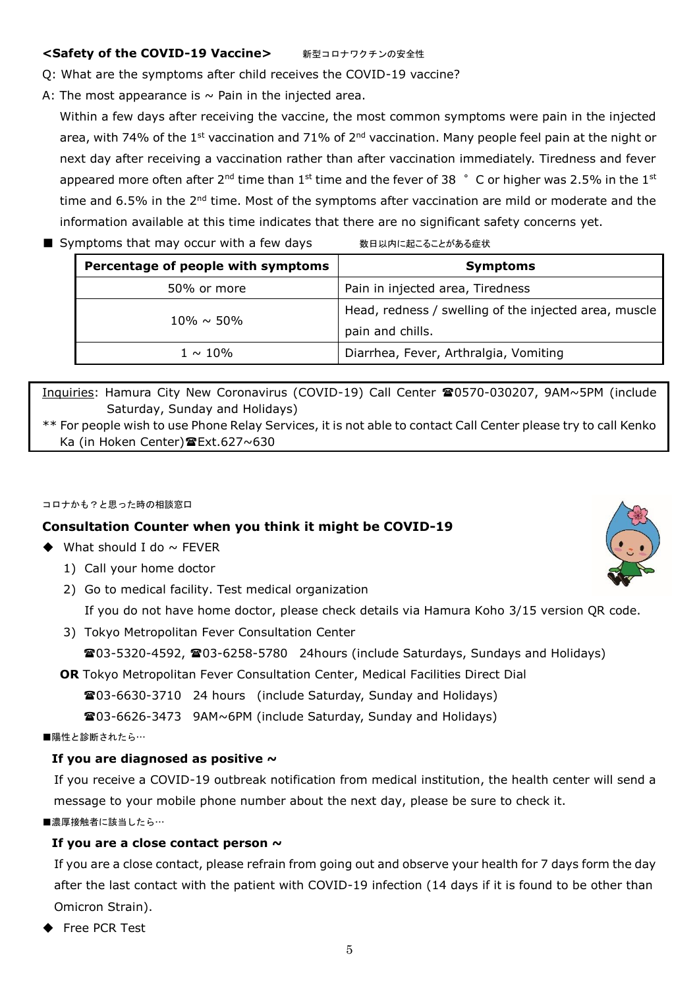#### **<Safety of the COVID-19 Vaccine>** 新型コロナワクチンの安全性

Q: What are the symptoms after child receives the COVID-19 vaccine?

A: The most appearance is  $\sim$  Pain in the injected area.

 Within a few days after receiving the vaccine, the most common symptoms were pain in the injected area, with 74% of the 1<sup>st</sup> vaccination and 71% of 2<sup>nd</sup> vaccination. Many people feel pain at the night or next day after receiving a vaccination rather than after vaccination immediately. Tiredness and fever appeared more often after 2<sup>nd</sup> time than 1<sup>st</sup> time and the fever of 38  $\degree$  C or higher was 2.5% in the 1<sup>st</sup> time and 6.5% in the  $2^{nd}$  time. Most of the symptoms after vaccination are mild or moderate and the information available at this time indicates that there are no significant safety concerns yet.

■ Symptoms that may occur with a few days

| Percentage of people with symptoms | <b>Symptoms</b>                                                           |  |
|------------------------------------|---------------------------------------------------------------------------|--|
| 50% or more                        | Pain in injected area, Tiredness                                          |  |
| $10\% \sim 50\%$                   | Head, redness / swelling of the injected area, muscle<br>pain and chills. |  |
| $1 \sim 10\%$                      | Diarrhea, Fever, Arthralgia, Vomiting                                     |  |

Inquiries: Hamura City New Coronavirus (COVID-19) Call Center <sup>200570-030207, 9AM~5PM</sup> (include Saturday, Sunday and Holidays)

\*\* For people wish to use Phone Relay Services, it is not able to contact Call Center please try to call Kenko Ka (in Hoken Center) Ext.627~630

#### コロナかも?と思った時の相談窓口

# **Consultation Counter when you think it might be COVID-19**

- $\blacklozenge$  What should I do  $\sim$  FEVER
	- 1) Call your home doctor
	- 2) Go to medical facility. Test medical organization

If you do not have home doctor, please check details via Hamura Koho 3/15 version QR code.

3) Tokyo Metropolitan Fever Consultation Center

 $\textcircled{3-5320-4592}$ ,  $\textcircled{3-6258-5780}$  24hours (include Saturdays, Sundays and Holidays)

**OR** Tokyo Metropolitan Fever Consultation Center, Medical Facilities Direct Dial

03-6630-3710 24 hours (include Saturday, Sunday and Holidays)

03-6626-3473 9AM~6PM (include Saturday, Sunday and Holidays)

■陽性と診断されたら…

#### **If you are diagnosed as positive ~**

If you receive a COVID-19 outbreak notification from medical institution, the health center will send a message to your mobile phone number about the next day, please be sure to check it.

■濃厚接触者に該当したら…

# **If you are a close contact person ~**

If you are a close contact, please refrain from going out and observe your health for 7 days form the day after the last contact with the patient with COVID-19 infection (14 days if it is found to be other than Omicron Strain).

**Free PCR Test**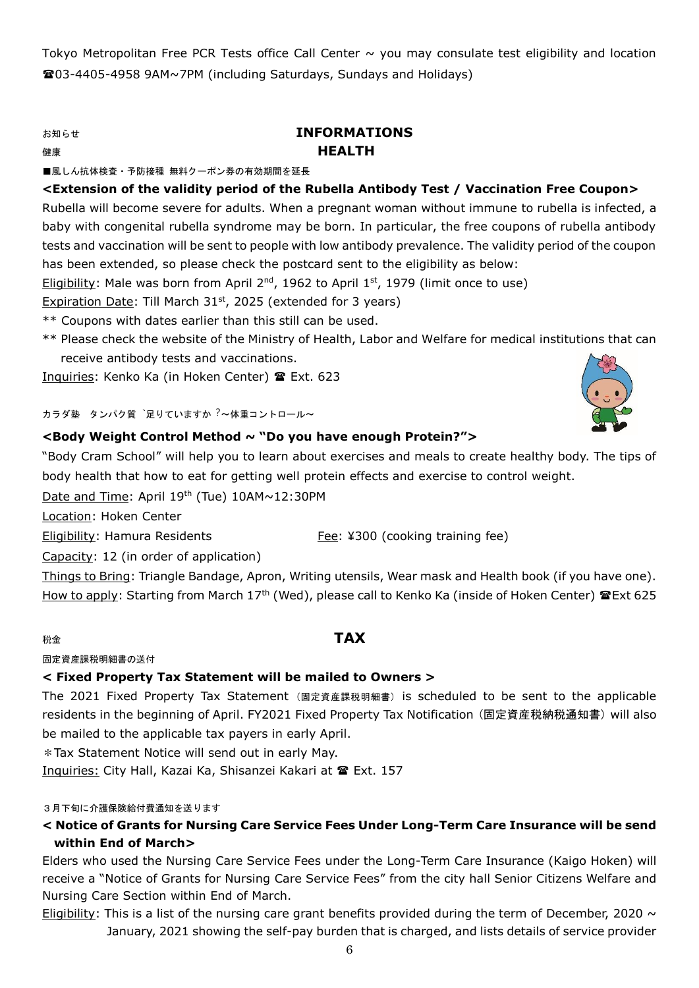Tokyo Metropolitan Free PCR Tests office Call Center  $\sim$  you may consulate test eligibility and location 03-4405-4958 9AM~7PM (including Saturdays, Sundays and Holidays)

# お知らせ **INFORMATIONS** 健康 **HEALTH**

■風しん抗体検査・予防接種 無料クーポン券の有効期間を延長

**<Extension of the validity period of the Rubella Antibody Test / Vaccination Free Coupon>** Rubella will become severe for adults. When a pregnant woman without immune to rubella is infected, a baby with congenital rubella syndrome may be born. In particular, the free coupons of rubella antibody

tests and vaccination will be sent to people with low antibody prevalence. The validity period of the coupon has been extended, so please check the postcard sent to the eligibility as below:

Eligibility: Male was born from April 2<sup>nd</sup>, 1962 to April 1<sup>st</sup>, 1979 (limit once to use)

Expiration Date: Till March 31<sup>st</sup>, 2025 (extended for 3 years)

\*\* Coupons with dates earlier than this still can be used.

\*\* Please check the website of the Ministry of Health, Labor and Welfare for medical institutions that can receive antibody tests and vaccinations.

Inquiries: Kenko Ka (in Hoken Center) Ext. 623

カラダ塾 タンパク質 「足りていますか?~体重コントロール~

# **<Body Weight Control Method ~ "Do you have enough Protein?">**

"Body Cram School" will help you to learn about exercises and meals to create healthy body. The tips of body health that how to eat for getting well protein effects and exercise to control weight.

Date and Time: April 19th (Tue) 10AM~12:30PM

Location: Hoken Center

Eligibility: Hamura Residents Fee: ¥300 (cooking training fee)

Capacity: 12 (in order of application)

Things to Bring: Triangle Bandage, Apron, Writing utensils, Wear mask and Health book (if you have one). How to apply: Starting from March 17<sup>th</sup> (Wed), please call to Kenko Ka (inside of Hoken Center) TExt 625

税金 **TAX**

固定資産課税明細書の送付

# **< Fixed Property Tax Statement will be mailed to Owners >**

The 2021 Fixed Property Tax Statement (固定資産課税明細書) is scheduled to be sent to the applicable residents in the beginning of April. FY2021 Fixed Property Tax Notification (固定資産税納税通知書) will also be mailed to the applicable tax payers in early April.

\*Tax Statement Notice will send out in early May.

Inquiries: City Hall, Kazai Ka, Shisanzei Kakari at <sup>2</sup> Ext. 157

#### 3月下旬に介護保険給付費通知を送ります

**< Notice of Grants for Nursing Care Service Fees Under Long-Term Care Insurance will be send within End of March>**

Elders who used the Nursing Care Service Fees under the Long-Term Care Insurance (Kaigo Hoken) will receive a "Notice of Grants for Nursing Care Service Fees" from the city hall Senior Citizens Welfare and Nursing Care Section within End of March.

Eligibility: This is a list of the nursing care grant benefits provided during the term of December, 2020  $\sim$ January, 2021 showing the self-pay burden that is charged, and lists details of service provider

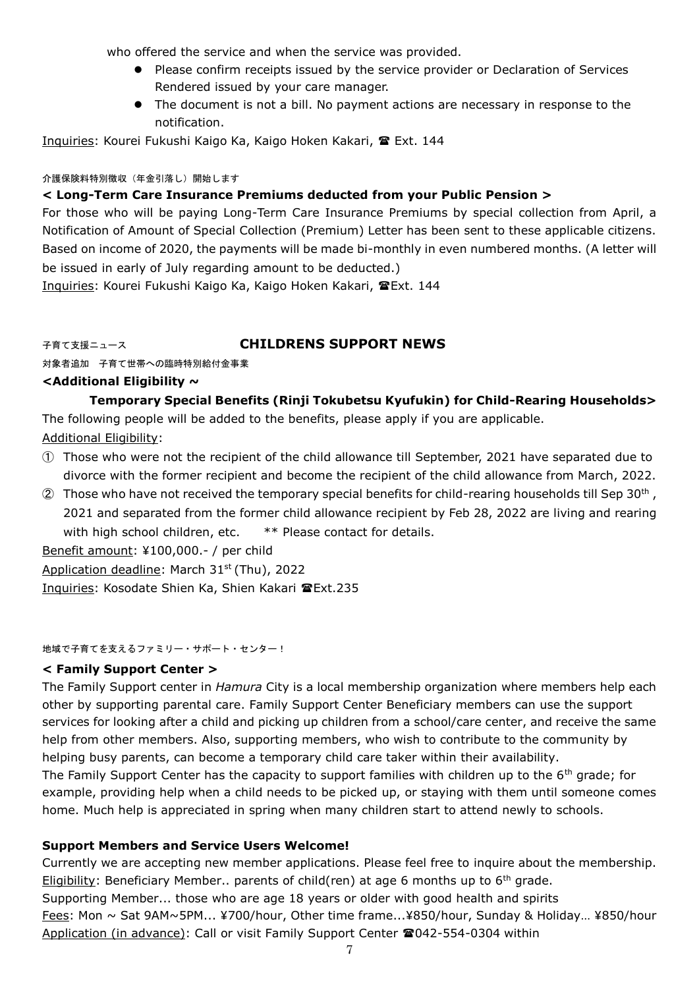who offered the service and when the service was provided.

- Please confirm receipts issued by the service provider or Declaration of Services Rendered issued by your care manager.
- The document is not a bill. No payment actions are necessary in response to the notification.

Inquiries: Kourei Fukushi Kaigo Ka, Kaigo Hoken Kakari, <sup>2</sup> Ext. 144

#### 介護保険料特別徴収(年金引落し)開始します

#### **< Long-Term Care Insurance Premiums deducted from your Public Pension >**

For those who will be paying Long-Term Care Insurance Premiums by special collection from April, a Notification of Amount of Special Collection (Premium) Letter has been sent to these applicable citizens. Based on income of 2020, the payments will be made bi-monthly in even numbered months. (A letter will be issued in early of July regarding amount to be deducted.)

Inquiries: Kourei Fukushi Kaigo Ka, Kaigo Hoken Kakari, TExt. 144

# 子育て支援ニュース **CHILDRENS SUPPORT NEWS**

対象者追加 子育て世帯への臨時特別給付金事業

#### **<Additional Eligibility ~**

# **Temporary Special Benefits (Rinji Tokubetsu Kyufukin) for Child-Rearing Households>** The following people will be added to the benefits, please apply if you are applicable.

- Additional Eligibility:
- ① Those who were not the recipient of the child allowance till September, 2021 have separated due to divorce with the former recipient and become the recipient of the child allowance from March, 2022.
- $\textcircled{2}$  Those who have not received the temporary special benefits for child-rearing households till Sep 30<sup>th</sup>, 2021 and separated from the former child allowance recipient by Feb 28, 2022 are living and rearing with high school children, etc. \*\* Please contact for details.

Benefit amount: ¥100,000.- / per child

Application deadline: March 31<sup>st</sup> (Thu), 2022

Inquiries: Kosodate Shien Ka, Shien Kakari TExt.235

#### 地域で子育てを支えるファミリー・サポート・センター!

#### **< Family Support Center >**

The Family Support center in *Hamura* City is a local membership organization where members help each other by supporting parental care. Family Support Center Beneficiary members can use the support services for looking after a child and picking up children from a school/care center, and receive the same help from other members. Also, supporting members, who wish to contribute to the community by helping busy parents, can become a temporary child care taker within their availability. The Family Support Center has the capacity to support families with children up to the  $6<sup>th</sup>$  grade; for

example, providing help when a child needs to be picked up, or staying with them until someone comes home. Much help is appreciated in spring when many children start to attend newly to schools.

#### **Support Members and Service Users Welcome!**

Currently we are accepting new member applications. Please feel free to inquire about the membership. Eligibility: Beneficiary Member.. parents of child(ren) at age 6 months up to  $6<sup>th</sup>$  grade. Supporting Member... those who are age 18 years or older with good health and spirits Fees: Mon ~ Sat 9AM~5PM... ¥700/hour, Other time frame...¥850/hour, Sunday & Holiday… ¥850/hour Application (in advance): Call or visit Family Support Center <sup>2042-554-0304</sup> within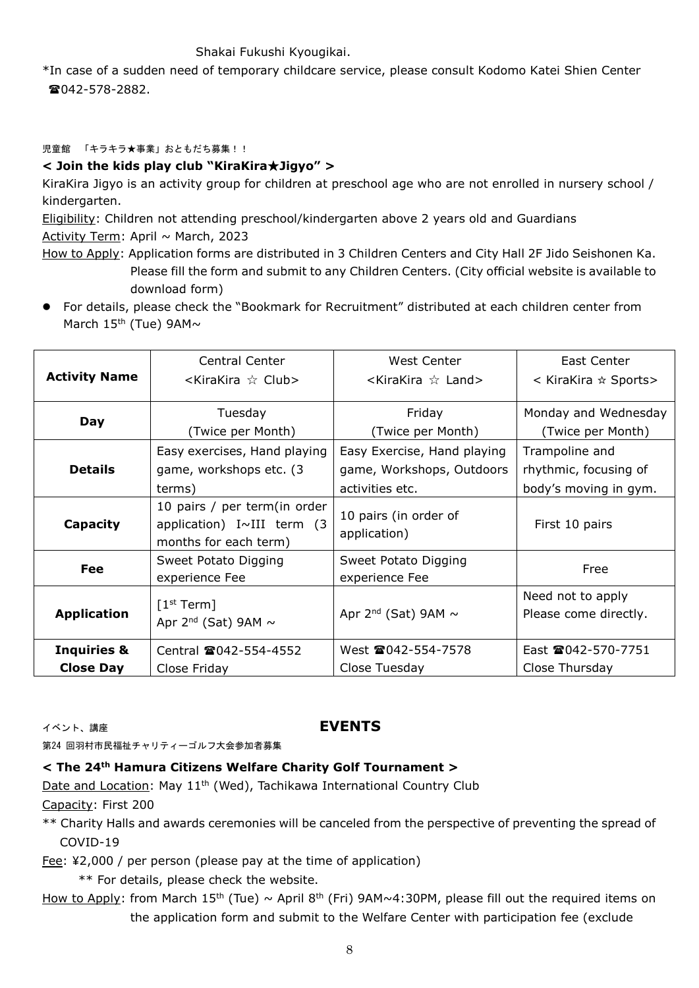# Shakai Fukushi Kyougikai.

\*In case of a sudden need of temporary childcare service, please consult Kodomo Katei Shien Center 042-578-2882.

#### 児童館 「キラキラ★事業」おともだち募集!!

#### **< Join the kids play club "KiraKira**★**Jigyo" >**

KiraKira Jigyo is an activity group for children at preschool age who are not enrolled in nursery school / kindergarten.

Eligibility: Children not attending preschool/kindergarten above 2 years old and Guardians Activity Term: April  $\sim$  March, 2023

- How to Apply: Application forms are distributed in 3 Children Centers and City Hall 2F Jido Seishonen Ka. Please fill the form and submit to any Children Centers. (City official website is available to download form)
- For details, please check the "Bookmark for Recruitment" distributed at each children center from March  $15<sup>th</sup>$  (Tue) 9AM $\sim$

| <b>Activity Name</b>   | Central Center<br><kirakira club="" ☆=""></kirakira>                                       | <b>West Center</b><br><kirakira land="" ☆=""></kirakira> | East Center<br>< KiraKira ☆ Sports>        |
|------------------------|--------------------------------------------------------------------------------------------|----------------------------------------------------------|--------------------------------------------|
|                        |                                                                                            |                                                          |                                            |
| Day                    | Tuesday                                                                                    | Friday                                                   | Monday and Wednesday                       |
|                        | (Twice per Month)                                                                          | (Twice per Month)                                        | (Twice per Month)                          |
|                        | Easy exercises, Hand playing                                                               | Easy Exercise, Hand playing                              | Trampoline and                             |
| <b>Details</b>         | game, workshops etc. (3)                                                                   | game, Workshops, Outdoors                                | rhythmic, focusing of                      |
|                        | terms)                                                                                     | activities etc.                                          | body's moving in gym.                      |
| Capacity               | 10 pairs / per term(in order<br>application) $I \sim III$ term (3<br>months for each term) | 10 pairs (in order of<br>application)                    | First 10 pairs                             |
| Fee                    | Sweet Potato Digging<br>experience Fee                                                     | Sweet Potato Digging<br>experience Fee                   | Free                                       |
| <b>Application</b>     | [1 <sup>st</sup> Term]<br>Apr $2^{nd}$ (Sat) 9AM $\sim$                                    | Apr $2^{nd}$ (Sat) 9AM $\sim$                            | Need not to apply<br>Please come directly. |
| <b>Inquiries &amp;</b> | Central <b>雷042-554-4552</b>                                                               | West 2042-554-7578                                       | East 2042-570-7751                         |
| <b>Close Day</b>       | Close Friday                                                                               | Close Tuesday                                            | Close Thursday                             |

# イベント、講座 **EVENTS**

第24 回羽村市民福祉チャリティーゴルフ大会参加者募集

#### **< The 24th Hamura Citizens Welfare Charity Golf Tournament >**

Date and Location: May 11<sup>th</sup> (Wed), Tachikawa International Country Club

Capacity: First 200

- \*\* Charity Halls and awards ceremonies will be canceled from the perspective of preventing the spread of COVID-19
- Fee: ¥2,000 / per person (please pay at the time of application)

\*\* For details, please check the website.

How to Apply: from March 15<sup>th</sup> (Tue) ~ April 8<sup>th</sup> (Fri) 9AM~4:30PM, please fill out the required items on the application form and submit to the Welfare Center with participation fee (exclude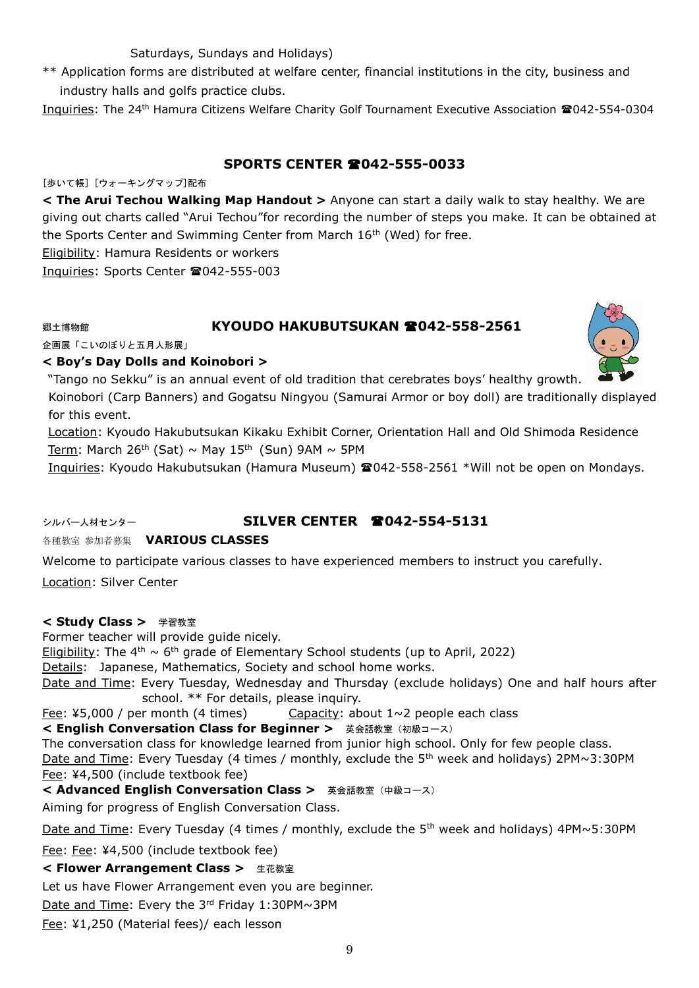Saturdays, Sundays and Holidays)

\*\* Application forms are distributed at welfare center, financial institutions in the city, business and industry halls and golfs practice clubs.

Inquiries: The 24<sup>th</sup> Hamura Citizens Welfare Charity Golf Tournament Executive Association **2042-554-0304** 

# **SPORTS CENTER 042-555-0033**

[歩いて帳] [ウォーキングマップ]配布

**< The Arui Techou Walking Map Handout >** Anyone can start a daily walk to stay healthy. We are giving out charts called "Arui Techou"for recording the number of steps you make. It can be obtained at the Sports Center and Swimming Center from March 16<sup>th</sup> (Wed) for free.

Eligibility: Hamura Residents or workers

Inquiries: Sports Center 2042-555-003

# 郷土博物館 **KYOUDO HAKUBUTSUKAN 042-558-2561**

企画展「こいのぼりと五月人形展」



# **< Boy's Day Dolls and Koinobori >**

"Tango no Sekku" is an annual event of old tradition that cerebrates boys' healthy growth.

Koinobori (Carp Banners) and Gogatsu Ningyou (Samurai Armor or boy doll) are traditionally displayed for this event.

Location: Kyoudo Hakubutsukan Kikaku Exhibit Corner, Orientation Hall and Old Shimoda Residence Term: March 26<sup>th</sup> (Sat)  $\sim$  May 15<sup>th</sup> (Sun) 9AM  $\sim$  5PM

Inquiries: Kyoudo Hakubutsukan (Hamura Museum) **2042-558-2561** \*Will not be open on Mondays.

# シルバー人材センター **SILVER CENTER 042-554-5131**

各種教室 参加者募集 **VARIOUS CLASSES** 

Welcome to participate various classes to have experienced members to instruct you carefully.

Location: Silver Center

# **< Study Class >** 学習教室

Former teacher will provide guide nicely.

Eligibility: The 4<sup>th</sup>  $\sim$  6<sup>th</sup> grade of Elementary School students (up to April, 2022)

Details: Japanese, Mathematics, Society and school home works.

Date and Time: Every Tuesday, Wednesday and Thursday (exclude holidays) One and half hours after school. \*\* For details, please inquiry.

Fee: ¥5,000 / per month (4 times) Capacity: about  $1 \sim 2$  people each class

**< English Conversation Class for Beginner >** 英会話教室(初級コース)

The conversation class for knowledge learned from junior high school. Only for few people class. Date and Time: Every Tuesday (4 times / monthly, exclude the  $5<sup>th</sup>$  week and holidays) 2PM~3:30PM Fee: ¥4,500 (include textbook fee)

**< Advanced English Conversation Class >** 英会話教室(中級コース)

Aiming for progress of English Conversation Class.

Date and Time: Every Tuesday (4 times / monthly, exclude the 5<sup>th</sup> week and holidays) 4PM~5:30PM

Fee: Fee: ¥4,500 (include textbook fee)

# **< Flower Arrangement Class >** 生花教室

Let us have Flower Arrangement even you are beginner.

Date and Time: Every the 3<sup>rd</sup> Friday 1:30PM∼3PM

Fee: ¥1,250 (Material fees)/ each lesson